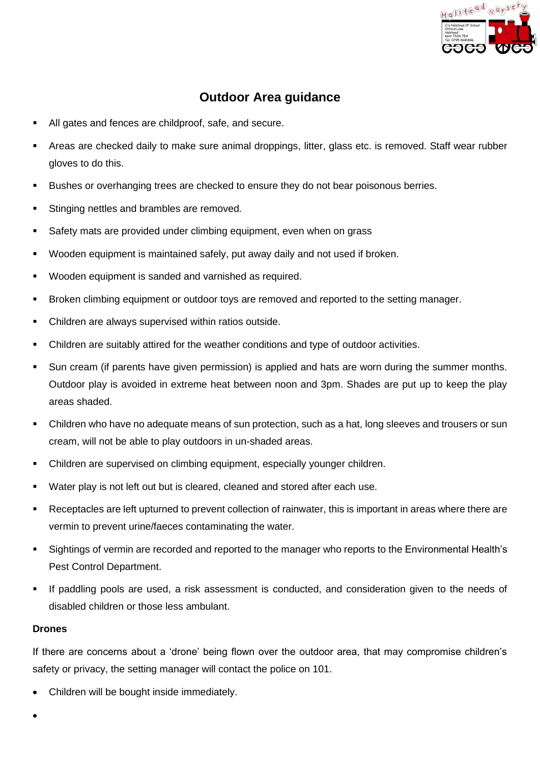

## **Outdoor Area guidance**

- All gates and fences are childproof, safe, and secure.
- Areas are checked daily to make sure animal droppings, litter, glass etc. is removed. Staff wear rubber gloves to do this.
- Bushes or overhanging trees are checked to ensure they do not bear poisonous berries.
- Stinging nettles and brambles are removed.
- Safety mats are provided under climbing equipment, even when on grass
- Wooden equipment is maintained safely, put away daily and not used if broken.
- Wooden equipment is sanded and varnished as required.
- Broken climbing equipment or outdoor toys are removed and reported to the setting manager.
- Children are always supervised within ratios outside.
- Children are suitably attired for the weather conditions and type of outdoor activities.
- Sun cream (if parents have given permission) is applied and hats are worn during the summer months. Outdoor play is avoided in extreme heat between noon and 3pm. Shades are put up to keep the play areas shaded.
- Children who have no adequate means of sun protection, such as a hat, long sleeves and trousers or sun cream, will not be able to play outdoors in un-shaded areas.
- Children are supervised on climbing equipment, especially younger children.
- Water play is not left out but is cleared, cleaned and stored after each use.
- Receptacles are left upturned to prevent collection of rainwater, this is important in areas where there are vermin to prevent urine/faeces contaminating the water.
- Sightings of vermin are recorded and reported to the manager who reports to the Environmental Health's Pest Control Department.
- **.** If paddling pools are used, a risk assessment is conducted, and consideration given to the needs of disabled children or those less ambulant.

## **Drones**

If there are concerns about a 'drone' being flown over the outdoor area, that may compromise children's safety or privacy, the setting manager will contact the police on 101.

- Children will be bought inside immediately.
- •